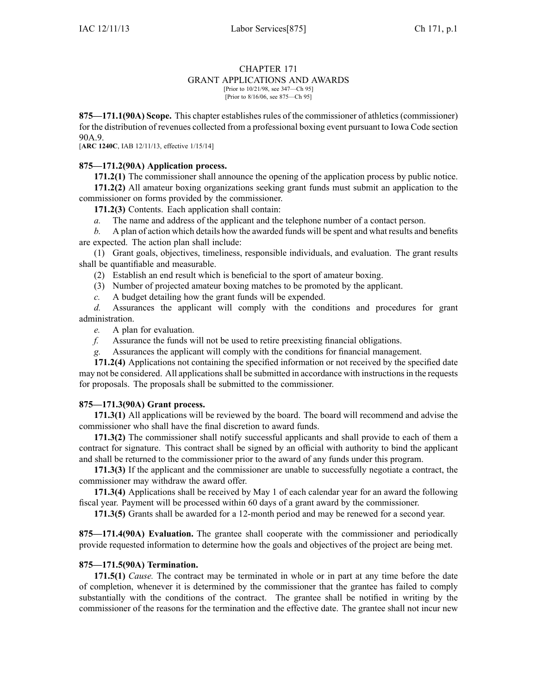#### CHAPTER 171 GRANT APPLICATIONS AND AWARDS [Prior to 10/21/98, see 347—Ch 95]

[Prior to 8/16/06, see 875—Ch 95]

**875—171.1(90A) Scope.** This chapter establishes rules of the commissioner of athletics (commissioner) for the distribution of revenues collected from <sup>a</sup> professional boxing event pursuan<sup>t</sup> to Iowa Code section 90A.9.

[**ARC 1240C**, IAB 12/11/13, effective 1/15/14]

## **875—171.2(90A) Application process.**

**171.2(1)** The commissioner shall announce the opening of the application process by public notice. **171.2(2)** All amateur boxing organizations seeking gran<sup>t</sup> funds must submit an application to the commissioner on forms provided by the commissioner.

**171.2(3)** Contents. Each application shall contain:

*a.* The name and address of the applicant and the telephone number of <sup>a</sup> contact person.

*b.* A plan of action which details how the awarded funds will be spen<sup>t</sup> and what results and benefits are expected. The action plan shall include:

(1) Grant goals, objectives, timeliness, responsible individuals, and evaluation. The gran<sup>t</sup> results shall be quantifiable and measurable.

(2) Establish an end result which is beneficial to the spor<sup>t</sup> of amateur boxing.

(3) Number of projected amateur boxing matches to be promoted by the applicant.

*c.* A budget detailing how the gran<sup>t</sup> funds will be expended.

*d.* Assurances the applicant will comply with the conditions and procedures for gran<sup>t</sup> administration.

*e.* A plan for evaluation.

*f.* Assurance the funds will not be used to retire preexisting financial obligations.

*g.* Assurances the applicant will comply with the conditions for financial management.

**171.2(4)** Applications not containing the specified information or not received by the specified date may not be considered. All applicationsshall be submitted in accordance with instructionsin the requests for proposals. The proposals shall be submitted to the commissioner.

### **875—171.3(90A) Grant process.**

**171.3(1)** All applications will be reviewed by the board. The board will recommend and advise the commissioner who shall have the final discretion to award funds.

**171.3(2)** The commissioner shall notify successful applicants and shall provide to each of them <sup>a</sup> contract for signature. This contract shall be signed by an official with authority to bind the applicant and shall be returned to the commissioner prior to the award of any funds under this program.

**171.3(3)** If the applicant and the commissioner are unable to successfully negotiate <sup>a</sup> contract, the commissioner may withdraw the award offer.

**171.3(4)** Applications shall be received by May 1 of each calendar year for an award the following fiscal year. Payment will be processed within 60 days of <sup>a</sup> gran<sup>t</sup> award by the commissioner.

**171.3(5)** Grants shall be awarded for <sup>a</sup> 12-month period and may be renewed for <sup>a</sup> second year.

**875—171.4(90A) Evaluation.** The grantee shall cooperate with the commissioner and periodically provide requested information to determine how the goals and objectives of the project are being met.

### **875—171.5(90A) Termination.**

**171.5(1)** *Cause.* The contract may be terminated in whole or in par<sup>t</sup> at any time before the date of completion, whenever it is determined by the commissioner that the grantee has failed to comply substantially with the conditions of the contract. The grantee shall be notified in writing by the commissioner of the reasons for the termination and the effective date. The grantee shall not incur new